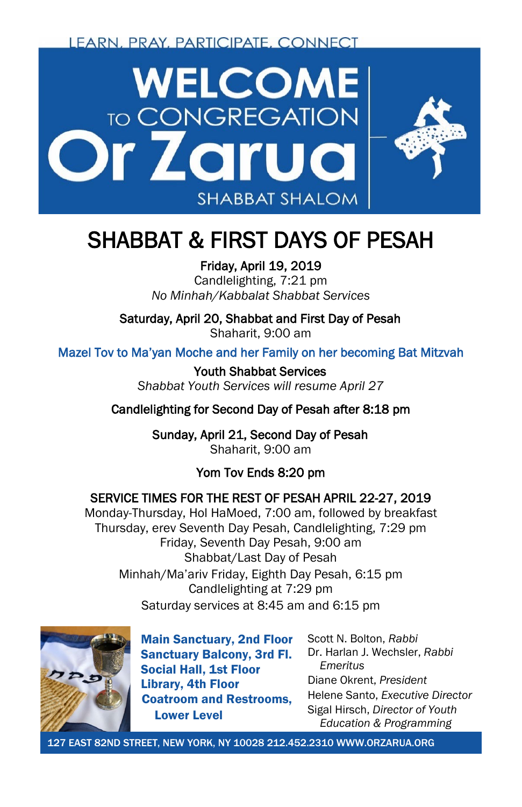LEARN, PRAY, PARTICIPATE, CONNECT



# SHABBAT & FIRST DAYS OF PESAH Friday, April 19, 2019

Candlelighting, 7:21 pm *No Minhah/Kabbalat Shabbat Services*

Saturday, April 20, Shabbat and First Day of Pesah

Shaharit, 9:00 am

Mazel Tov to Ma'yan Moche and her Family on her becoming Bat Mitzvah

Youth Shabbat Services *Shabbat Youth Services will resume April 27*

Candlelighting for Second Day of Pesah after 8:18 pm

Sunday, April 21, Second Day of Pesah Shaharit, 9:00 am

### Yom Tov Ends 8:20 pm

### SERVICE TIMES FOR THE REST OF PESAH APRIL 22-27, 2019

Monday-Thursday, Hol HaMoed, 7:00 am, followed by breakfast Thursday, erev Seventh Day Pesah, Candlelighting, 7:29 pm Friday, Seventh Day Pesah, 9:00 am Shabbat/Last Day of Pesah Minhah/Ma'ariv Friday, Eighth Day Pesah, 6:15 pm Candlelighting at 7:29 pm Saturday services at 8:45 am and 6:15 pm



Main Sanctuary, 2nd Floor Sanctuary Balcony, 3rd Fl. Social Hall, 1st Floor Library, 4th Floor Coatroom and Restrooms, Lower Level

Scott N. Bolton, *Rabbi* Dr. Harlan J. Wechsler, *Rabbi Emeritus* Diane Okrent, *President* Helene Santo, *Executive Director* Sigal Hirsch, *Director of Youth Education & Programming*

127 EAST 82ND STREET, NEW YORK, NY 10028 212.452.2310 WWW.ORZARUA.ORG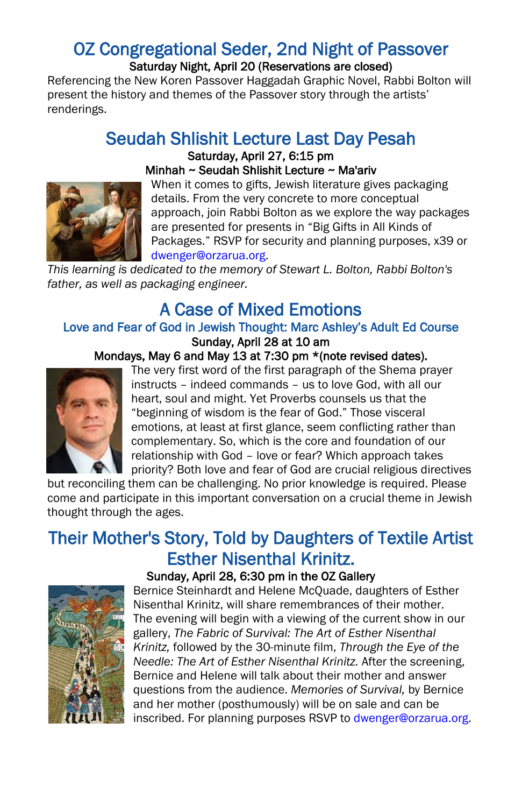## OZ Congregational Seder, 2nd Night of Passover<br>Saturday Night, April 20 (Reservations are closed)

Referencing the New Koren Passover Haggadah Graphic Novel, Rabbi Bolton will present the history and themes of the Passover story through the artists' renderings.

### Seudah Shlishit Lecture Last Day Pesah Saturday, April 27, 6:15 pm Minhah ~ Seudah Shlishit Lecture ~ Ma'ariv



When it comes to gifts, Jewish literature gives packaging details. From the very concrete to more conceptual approach, join Rabbi Bolton as we explore the way packages are presented for presents in "Big Gifts in All Kinds of Packages." RSVP for security and planning purposes, x39 or [dwenger@orzarua.org.](mailto:dwenger@orzarua.org)

*This learning is dedicated to the memory of Stewart L. Bolton, Rabbi Bolton's father, as well as packaging engineer.*

### A Case of Mixed Emotions<br>Love and Fear of God in Jewish Thought: Marc Ashley's Adult Ed Course Sunday, April 28 at 10 am

#### Mondays, May 6 and May 13 at 7:30 pm \*(note revised dates).



The very first word of the first paragraph of the Shema prayer instructs – indeed commands – us to love God, with all our heart, soul and might. Yet Proverbs counsels us that the "beginning of wisdom is the fear of God." Those visceral emotions, at least at first glance, seem conflicting rather than complementary. So, which is the core and foundation of our relationship with God – love or fear? Which approach takes priority? Both love and fear of God are crucial religious directives

but reconciling them can be challenging. No prior knowledge is required. Please come and participate in this important conversation on a crucial theme in Jewish thought through the ages.

### Their Mother's Story, Told by Daughters of Textile Artist Esther Nisenthal Krinitz. Sunday, April 28, 6:30 pm in the OZ Gallery





Bernice Steinhardt and Helene McQuade, daughters of Esther Nisenthal Krinitz, will share remembrances of their mother. The evening will begin with a viewing of the current show in our gallery, *The Fabric of Survival: The Art of Esther Nisenthal Krinitz,* followed by the 30-minute film, *Through the Eye of the Needle: The Art of Esther Nisenthal Krinitz.* After the screening, Bernice and Helene will talk about their mother and answer questions from the audience. *Memories of Survival,* by Bernice and her mother (posthumously) will be on sale and can be inscribed. For planning purposes RSVP t[o dwenger@orzarua.org.](mailto:dwenger@orzarua.org)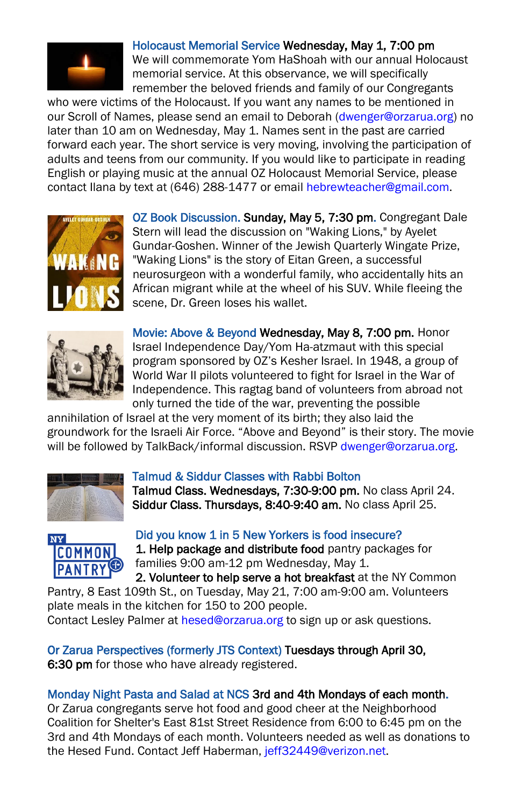

#### Holocaust Memorial Service Wednesday, May 1, 7:00 pm

We will commemorate Yom HaShoah with our annual Holocaust memorial service. At this observance, we will specifically remember the beloved friends and family of our Congregants

who were victims of the Holocaust. If you want any names to be mentioned in our Scroll of Names, please send an email to Deborah [\(dwenger@orzarua.org\)](mailto:dwenger@orzarua.org) no later than 10 am on Wednesday, May 1. Names sent in the past are carried forward each year. The short service is very moving, involving the participation of adults and teens from our community. If you would like to participate in reading English or playing music at the annual OZ Holocaust Memorial Service, please contact Ilana by text at (646) 288-1477 or emai[l hebrewteacher@gmail.com.](mailto:hebrewteacher@gmail.com)



OZ Book Discussion. Sunday, May 5, 7:30 pm. Congregant Dale Stern will lead the discussion on "Waking Lions," by Ayelet Gundar-Goshen. Winner of the Jewish Quarterly Wingate Prize, "Waking Lions" is the story of Eitan Green, a successful neurosurgeon with a wonderful family, who accidentally hits an African migrant while at the wheel of his SUV. While fleeing the scene, Dr. Green loses his wallet.



Movie: Above & Beyond Wednesday, May 8, 7:00 pm. Honor Israel Independence Day/Yom Ha-atzmaut with this special program sponsored by OZ's Kesher Israel. In 1948, a group of World War II pilots volunteered to fight for Israel in the War of Independence. This ragtag band of volunteers from abroad not only turned the tide of the war, preventing the possible

annihilation of Israel at the very moment of its birth; they also laid the groundwork for the Israeli Air Force. "Above and Beyond" is their story. The movie will be followed by TalkBack/informal discussion. RSVP dwenger@orzarua.org.



#### Talmud & Siddur Classes with Rabbi Bolton

Talmud Class. Wednesdays, 7:30-9:00 pm. No class April 24. Siddur Class. Thursdays, 8:40-9:40 am. No class April 25.



Did you know 1 in 5 New Yorkers is food insecure? 1. Help package and distribute food pantry packages for families 9:00 am-12 pm Wednesday, May 1.

2. Volunteer to help serve a hot breakfast at the NY Common Pantry, 8 East 109th St., on Tuesday, May 21, 7:00 am-9:00 am. Volunteers plate meals in the kitchen for 150 to 200 people.

Contact Lesley Palmer a[t hesed@orzarua.org](mailto:hesed@orzarua.org) to sign up or ask questions.

Or Zarua Perspectives (formerly JTS Context) Tuesdays through April 30, 6:30 pm for those who have already registered.

#### Monday Night Pasta and Salad at NCS 3rd and 4th Mondays of each month.

Or Zarua congregants serve hot food and good cheer at the Neighborhood Coalition for Shelter's East 81st Street Residence from 6:00 to 6:45 pm on the 3rd and 4th Mondays of each month. Volunteers needed as well as donations to the Hesed Fund. Contact Jeff Haberman, [jeff32449@verizon.net.](mailto:jeff32449@verizon.net)